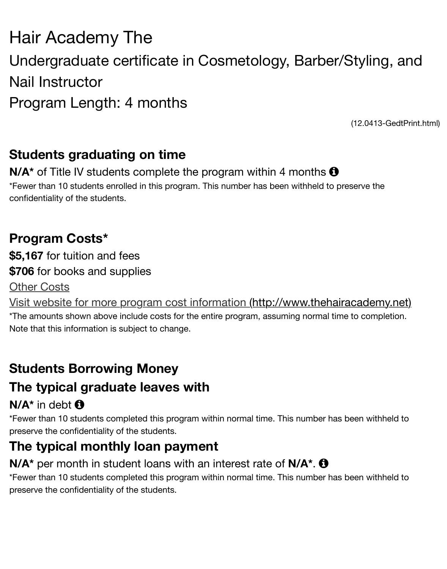# Nail Instructor Program Length: 4 months

 $(12.0413$ 

## **Students graduating on time**

**N/A<sup>\*</sup>** of Title IV students complete the program within 4 months  $\theta$ \*Fewer than 10 students enrolled in this program. This number has been withheld to preserve th confidentiality of the students.

## **Program Costs\***

**\$5,167** for tuition and fees **\$706** for books and supplies

#### Other Costs

Visit website for more program cost information (http://www.thehairacaden

\*The amounts shown above include costs for the entire program, assuming normal time to comp Note that this information is subject to change.

## **Students Borrowing Money**

## **[The typical graduate leaves with](http://www.thehairacademy.net/)**

## $N/A^*$  in debt  $\bigoplus$

\*Fewer than 10 students completed this program within normal time. This number has been with preserve the confidentiality of the students.

# **The typical monthly loan payment**

### **N/A<sup>\*</sup>** per month in student loans with an interest rate of **N/A<sup>\*</sup>**.  $\bullet$

\*Fewer than 10 students completed this program within normal time. This number has been with preserve the confidentiality of the students.